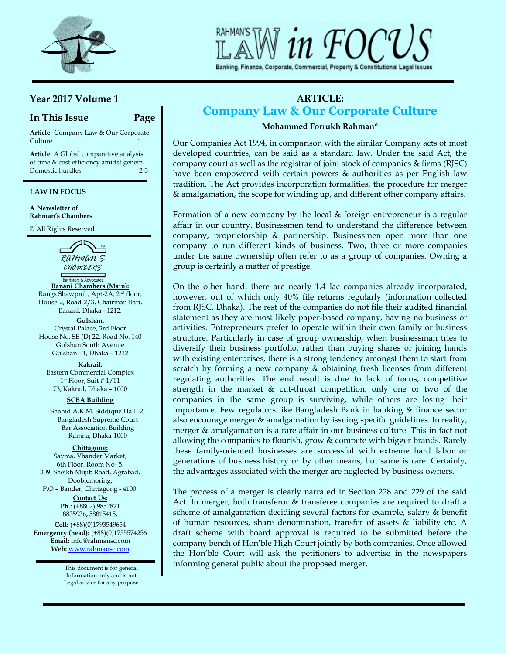

# Banking, Finance, Corporate, Commercial, Property & Constitutional Legal Issues

# **Year 2017 Volume 1**

# **In This Issue Page**

**Article**- Company Law & Our Corporate Culture 2012 12:00 12:00 12:00 12:00 12:00 12:00 12:00 12:00 12:00 12:00 12:00 12:00 12:00 12:00 12:00 12:00 12:00 12:00 12:00 12:00 12:00 12:00 12:00 12:00 12:00 12:00 12:00 12:00 12:00 12:00 12:00 12:00 12:00 12:00 12:00

**Article**: A Global comparative analysis of time & cost efficiency amidst general Domestic hurdles 2-3

I

### **LAW IN FOCUS**

**A Newsletter of Rahman's Chambers**

© All Rights Reserved



**Banani Chambers (Main):** Rangs Shawpnil , Apt-2A, 2nd floor, House-2, Road-2/3, Chairman Bari, Banani, Dhaka - 1212.

**Gulshan:** Crystal Palace, 3rd Floor House No. SE (D) 22, Road No. 140 Gulshan South Avenue Gulshan - 1, Dhaka – 1212

**Kakrail:** Eastern Commercial Complex 1 st Floor, Suit # 1/11 73, Kakrail, Dhaka – 1000

**SCBA Building** 

Shahid A.K.M. Siddique Hall -2, Bangladesh Supreme Court Bar Association Building Ramna, Dhaka-1000

**Chittagong:** Sayma, Vhander Market, 6th Floor, Room No- 5, 309, Sheikh Mujib Road, Agrabad, Dooblemoring, P.O – Bander, Chittagong - 4100.

**Contact Us: Ph.:** (+8802) 9852821 8835936**,** 58815415,

**Cell:** (+88)(0)1793549654 **Emergency (head):** (+88)(0)1755574256 **Email:** [info@rahmansc.com](mailto:rahmansc@gmail.com) **Web:** [www.rahmansc.com](http://www.rahmansc.com/)

> This document is for general Information only and is not Legal advice for any purpose

# **ARTICLE: Company Law & Our Corporate Culture**

## **Mohammed Forrukh Rahman\***

Our Companies Act 1994, in comparison with the similar Company acts of most developed countries, can be said as a standard law. Under the said Act, the company court as well as the registrar of joint stock of companies & firms (RJSC) have been empowered with certain powers & authorities as per English law tradition. The Act provides incorporation formalities, the procedure for merger & amalgamation, the scope for winding up, and different other company affairs.

Formation of a new company by the local & foreign entrepreneur is a regular affair in our country. Businessmen tend to understand the difference between company, proprietorship & partnership. Businessmen open more than one company to run different kinds of business. Two, three or more companies under the same ownership often refer to as a group of companies. Owning a group is certainly a matter of prestige.

On the other hand, there are nearly 1.4 lac companies already incorporated; however, out of which only 40% file returns regularly (information collected from RJSC, Dhaka). The rest of the companies do not file their audited financial statement as they are most likely paper-based company, having no business or activities. Entrepreneurs prefer to operate within their own family or business structure. Particularly in case of group ownership, when businessman tries to diversify their business portfolio, rather than buying shares or joining hands with existing enterprises, there is a strong tendency amongst them to start from scratch by forming a new company & obtaining fresh licenses from different regulating authorities. The end result is due to lack of focus, competitive strength in the market & cut-throat competition, only one or two of the companies in the same group is surviving, while others are losing their importance. Few regulators like Bangladesh Bank in banking & finance sector also encourage merger & amalgamation by issuing specific guidelines. In reality, merger & amalgamation is a rare affair in our business culture. This in fact not allowing the companies to flourish, grow & compete with bigger brands. Rarely these family-oriented businesses are successful with extreme hard labor or generations of business history or by other means, but same is rare. Certainly, the advantages associated with the merger are neglected by business owners.

The process of a merger is clearly narrated in Section 228 and 229 of the said Act. In merger, both transferor & transferee companies are required to draft a scheme of amalgamation deciding several factors for example, salary & benefit of human resources, share denomination, transfer of assets & liability etc. A draft scheme with board approval is required to be submitted before the company bench of Hon'ble High Court jointly by both companies. Once allowed the Hon'ble Court will ask the petitioners to advertise in the newspapers informing general public about the proposed merger.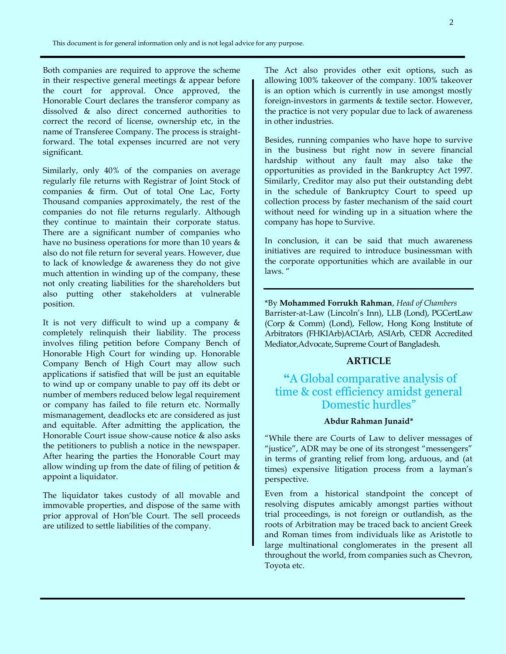Both companies are required to approve the scheme in their respective general meetings & appear before the court for approval. Once approved, the Honorable Court declares the transferor company as dissolved & also direct concerned authorities to correct the record of license, ownership etc, in the name of Transferee Company. The process is straightforward. The total expenses incurred are not very significant.

Similarly, only 40% of the companies on average regularly file returns with Registrar of Joint Stock of companies & firm. Out of total One Lac, Forty Thousand companies approximately, the rest of the companies do not file returns regularly. Although they continue to maintain their corporate status. There are a significant number of companies who have no business operations for more than 10 years & also do not file return for several years. However, due to lack of knowledge & awareness they do not give much attention in winding up of the company, these not only creating liabilities for the shareholders but also putting other stakeholders at vulnerable position.

It is not very difficult to wind up a company & completely relinquish their liability. The process involves filing petition before Company Bench of Honorable High Court for winding up. Honorable Company Bench of High Court may allow such applications if satisfied that will be just an equitable to wind up or company unable to pay off its debt or number of members reduced below legal requirement or company has failed to file return etc. Normally mismanagement, deadlocks etc are considered as just and equitable. After admitting the application, the Honorable Court issue show-cause notice & also asks the petitioners to publish a notice in the newspaper. After hearing the parties the Honorable Court may allow winding up from the date of filing of petition  $&$ appoint a liquidator.

The liquidator takes custody of all movable and immovable properties, and dispose of the same with prior approval of Hon'ble Court. The sell proceeds are utilized to settle liabilities of the company.

The Act also provides other exit options, such as allowing 100% takeover of the company. 100% takeover is an option which is currently in use amongst mostly foreign-investors in garments & textile sector. However, the practice is not very popular due to lack of awareness in other industries.

Besides, running companies who have hope to survive in the business but right now in severe financial hardship without any fault may also take the opportunities as provided in the Bankruptcy Act 1997. Similarly, Creditor may also put their outstanding debt in the schedule of Bankruptcy Court to speed up collection process by faster mechanism of the said court without need for winding up in a situation where the company has hope to Survive.

In conclusion, it can be said that much awareness initiatives are required to introduce businessman with the corporate opportunities which are available in our laws. "

\*By **Mohammed Forrukh Rahman**, *Head of Chambers* Barrister-at-Law (Lincoln's Inn), LLB (Lond), PGCertLaw (Corp & Comm) (Lond), Fellow, Hong Kong Institute of Arbitrators (FHKIArb)ACIArb, ASIArb, CEDR Accredited Mediator,Advocate, Supreme Court of Bangladesh.

# **ARTICLE**

# **"**A Global comparative analysis of time & cost efficiency amidst general Domestic hurdles"

## **Abdur Rahman Junaid\***

"While there are Courts of Law to deliver messages of "justice", ADR may be one of its strongest "messengers" in terms of granting relief from long, arduous, and (at times) expensive litigation process from a layman's perspective.

Even from a historical standpoint the concept of resolving disputes amicably amongst parties without trial proceedings, is not foreign or outlandish, as the roots of Arbitration may be traced back to ancient Greek and Roman times from individuals like as Aristotle to large multinational conglomerates in the present all throughout the world, from companies such as Chevron, Toyota etc.